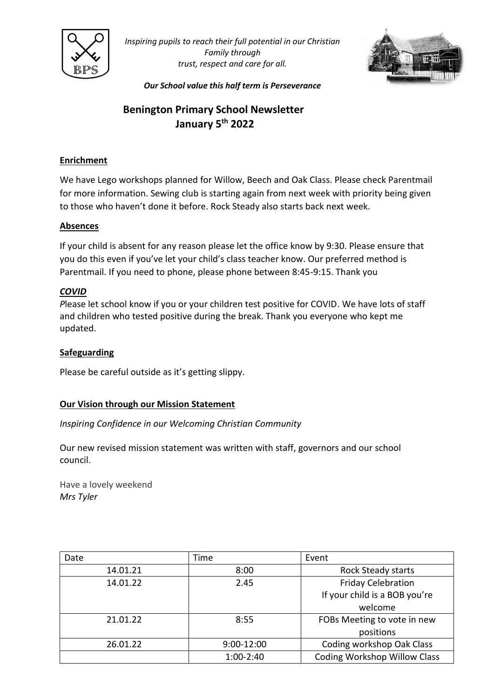

*Inspiring pupils to reach their full potential in our Christian Family through trust, respect and care for all.*



*Our School value this half term is Perseverance*

# **Benington Primary School Newsletter January 5th 2022**

## **Enrichment**

We have Lego workshops planned for Willow, Beech and Oak Class. Please check Parentmail for more information. Sewing club is starting again from next week with priority being given to those who haven't done it before. Rock Steady also starts back next week.

### **Absences**

If your child is absent for any reason please let the office know by 9:30. Please ensure that you do this even if you've let your child's class teacher know. Our preferred method is Parentmail. If you need to phone, please phone between 8:45-9:15. Thank you

### *COVID*

*P*lease let school know if you or your children test positive for COVID. We have lots of staff and children who tested positive during the break. Thank you everyone who kept me updated.

#### **Safeguarding**

Please be careful outside as it's getting slippy.

#### **Our Vision through our Mission Statement**

*Inspiring Confidence in our Welcoming Christian Community*

Our new revised mission statement was written with staff, governors and our school council.

Have a lovely weekend *Mrs Tyler*

| Date     | Time           | Event                               |
|----------|----------------|-------------------------------------|
| 14.01.21 | 8:00           | <b>Rock Steady starts</b>           |
| 14.01.22 | 2.45           | <b>Friday Celebration</b>           |
|          |                | If your child is a BOB you're       |
|          |                | welcome                             |
| 21.01.22 | 8:55           | FOBs Meeting to vote in new         |
|          |                | positions                           |
| 26.01.22 | $9:00 - 12:00$ | Coding workshop Oak Class           |
|          | $1:00-2:40$    | <b>Coding Workshop Willow Class</b> |